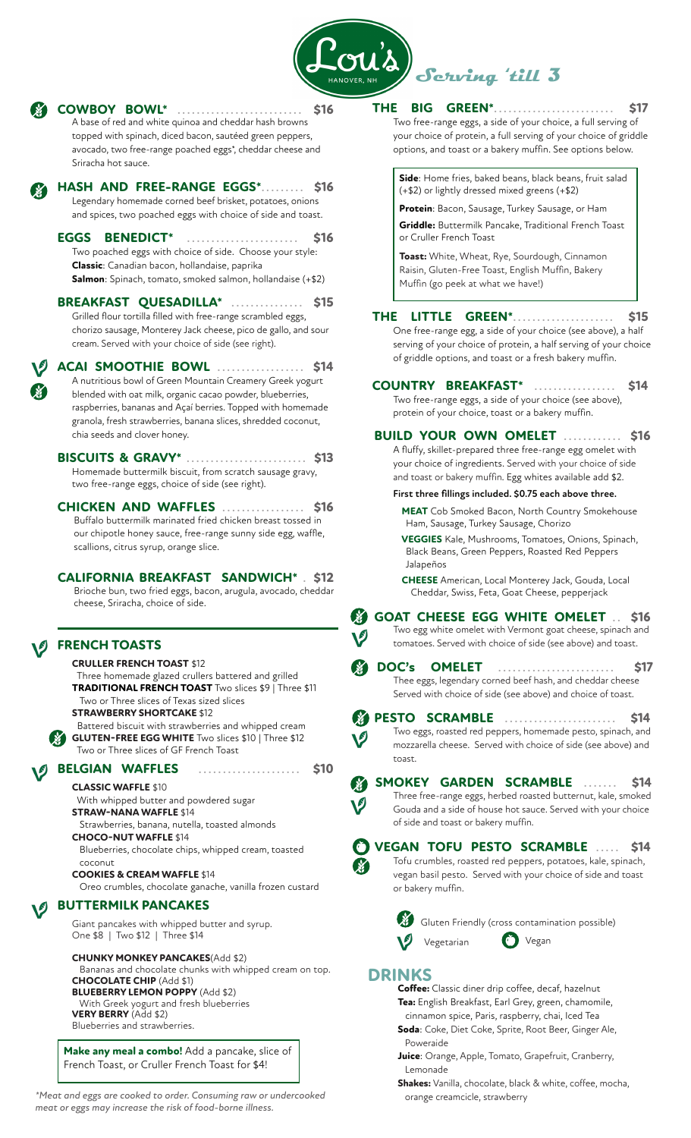

|    | <b>COWBOY BOWL*</b><br>\$16<br>A base of red and white quinoa and cheddar hash browns<br>topped with spinach, diced bacon, sautéed green peppers,<br>avocado, two free-range poached eggs*, cheddar cheese and<br>Sriracha hot sauce.                                                                                                                                                  | <b>BIG GREEN*</b><br><b>THE</b><br><b>S17</b><br>Two free-range eggs, a side of your choice, a full serving of<br>your choice of protein, a full serving of your choice of griddle<br>options, and toast or a bakery muffin. See options below.                                                                                                       |
|----|----------------------------------------------------------------------------------------------------------------------------------------------------------------------------------------------------------------------------------------------------------------------------------------------------------------------------------------------------------------------------------------|-------------------------------------------------------------------------------------------------------------------------------------------------------------------------------------------------------------------------------------------------------------------------------------------------------------------------------------------------------|
|    | HASH AND FREE-RANGE EGGS*.<br><b>\$16</b><br>Legendary homemade corned beef brisket, potatoes, onions<br>and spices, two poached eggs with choice of side and toast.<br><b>EGGS BENEDICT*</b><br><b>S16</b><br>Two poached eggs with choice of side. Choose your style:<br>Classic: Canadian bacon, hollandaise, paprika<br>Salmon: Spinach, tomato, smoked salmon, hollandaise (+\$2) | Side: Home fries, baked beans, black beans, fruit salad<br>(+\$2) or lightly dressed mixed greens (+\$2)<br>Protein: Bacon, Sausage, Turkey Sausage, or Ham<br>Griddle: Buttermilk Pancake, Traditional French Toast<br>or Cruller French Toast<br>Toast: White, Wheat, Rye, Sourdough, Cinnamon<br>Raisin, Gluten-Free Toast, English Muffin, Bakery |
|    | BREAKFAST QUESADILLA*<br>\$15<br>Grilled flour tortilla filled with free-range scrambled eggs,<br>chorizo sausage, Monterey Jack cheese, pico de gallo, and sour<br>cream. Served with your choice of side (see right).                                                                                                                                                                | Muffin (go peek at what we have!)<br>LITTLE GREEN*<br><b>THE</b><br>\$15<br>.<br>One free-range egg, a side of your choice (see above), a half<br>serving of your choice of protein, a half serving of your choice                                                                                                                                    |
| X. | <b>ACAI SMOOTHIE BOWL</b><br>\$14<br>A nutritious bowl of Green Mountain Creamery Greek yogurt<br>blended with oat milk, organic cacao powder, blueberries,<br>raspberries, bananas and Açaí berries. Topped with homemade<br>granola, fresh strawberries, banana slices, shredded coconut,<br>chia seeds and clover honey.                                                            | of griddle options, and toast or a fresh bakery muffin.<br><b>COUNTRY BREAKFAST*</b><br>\$14<br>.<br>Two free-range eggs, a side of your choice (see above),<br>protein of your choice, toast or a bakery muffin.<br><b>BUILD YOUR OWN OMELET </b><br><b>S16</b>                                                                                      |
|    | <b>BISCUITS &amp; GRAVY*</b> .<br>\$13<br>Homemade buttermilk biscuit, from scratch sausage gravy,<br>two free-range eggs, choice of side (see right).                                                                                                                                                                                                                                 | A fluffy, skillet-prepared three free-range egg omelet with<br>your choice of ingredients. Served with your choice of side<br>and toast or bakery muffin. Egg whites available add \$2.                                                                                                                                                               |
|    | <b>CHICKEN AND WAFFLES</b><br><b>S16</b><br>Buffalo buttermilk marinated fried chicken breast tossed in<br>our chipotle honey sauce, free-range sunny side egg, waffle,<br>scallions, citrus syrup, orange slice.                                                                                                                                                                      | First three fillings included. \$0.75 each above three.<br><b>MEAT</b> Cob Smoked Bacon, North Country Smokehouse<br>Ham, Sausage, Turkey Sausage, Chorizo<br>VEGGIES Kale, Mushrooms, Tomatoes, Onions, Spinach,<br>Black Beans, Green Peppers, Roasted Red Peppers                                                                                  |
|    | <b>CALIFORNIA BREAKFAST SANDWICH* S12</b><br>Brioche bun, two fried eggs, bacon, arugula, avocado, cheddar<br>cheese, Sriracha, choice of side.                                                                                                                                                                                                                                        | Jalapeños<br><b>CHEESE</b> American, Local Monterey Jack, Gouda, Local<br>Cheddar, Swiss, Feta, Goat Cheese, pepperjack<br>X,<br>GOAT CHEESE EGG WHITE OMELET  \$16                                                                                                                                                                                   |
|    | <b>FRENCH TOASTS</b>                                                                                                                                                                                                                                                                                                                                                                   | Two egg white omelet with Vermont goat cheese, spinach and<br>V<br>tomatoes. Served with choice of side (see above) and toast.                                                                                                                                                                                                                        |
|    | <b>CRULLER FRENCH TOAST \$12</b><br>Three homemade glazed crullers battered and grilled<br>TRADITIONAL FRENCH TOAST Two slices \$9   Three \$11<br>Two or Three slices of Texas sized slices<br><b>STRAWBERRY SHORTCAKE \$12</b><br>Battered biscuit with strawberries and whipped cream<br><b>GLUTEN-FREE EGG WHITE</b> Two slices \$10   Three \$12                                  | DOC's<br><b>OMELET</b><br><b>\$17</b><br>.<br>Thee eggs, legendary corned beef hash, and cheddar cheese<br>Served with choice of side (see above) and choice of toast.<br><b>PESTO SCRAMBLE</b><br>S14<br>.<br>Two eggs, roasted red peppers, homemade pesto, spinach, and                                                                            |
|    | Two or Three slices of GF French Toast                                                                                                                                                                                                                                                                                                                                                 | V<br>mozzarella cheese. Served with choice of side (see above) and<br>toast.                                                                                                                                                                                                                                                                          |
|    | <b>BELGIAN WAFFLES</b><br>\$10<br><b>CLASSIC WAFFLE \$10</b><br>With whipped butter and powdered sugar<br><b>STRAW-NANA WAFFLE \$14</b><br>Strawberries, banana, nutella, toasted almonds<br><b>CHOCO-NUT WAFFLE \$14</b><br>Blueberries, chocolate chips, whipped cream, toasted                                                                                                      | SMOKEY GARDEN SCRAMBLE<br>S14<br>Three free-range eggs, herbed roasted butternut, kale, smoked<br>Gouda and a side of house hot sauce. Served with your choice<br>of side and toast or bakery muffin.<br><b>VEGAN TOFU PESTO SCRAMBLE  \$14</b>                                                                                                       |
|    | coconut<br><b>COOKIES &amp; CREAM WAFFLE \$14</b><br>Oreo crumbles, chocolate ganache, vanilla frozen custard                                                                                                                                                                                                                                                                          | Tofu crumbles, roasted red peppers, potatoes, kale, spinach,<br>X.<br>vegan basil pesto. Served with your choice of side and toast<br>or bakery muffin.                                                                                                                                                                                               |
|    | <b>BUTTERMILK PANCAKES</b><br>Giant pancakes with whipped butter and syrup.<br>One \$8   Two \$12   Three \$14<br><b>CHUNKY MONKEY PANCAKES(Add \$2)</b><br>Bananas and chocolate chunks with whipped cream on top.<br><b>CHOCOLATE CHIP (Add \$1)</b>                                                                                                                                 | Gluten Friendly (cross contamination possible)<br>Vegan<br>Vegetarian<br><b>DRINKS</b>                                                                                                                                                                                                                                                                |
|    | <b>BLUEBERRY LEMON POPPY (Add \$2)</b><br>With Greek yogurt and fresh blueberries<br><b>VERY BERRY</b> (Add \$2)<br>Blueberries and strawberries.<br>Make any meal a combo! Add a pancake, slice of                                                                                                                                                                                    | Coffee: Classic diner drip coffee, decaf, hazelnut<br>Tea: English Breakfast, Earl Grey, green, chamomile,<br>cinnamon spice, Paris, raspberry, chai, Iced Tea<br>Soda: Coke, Diet Coke, Sprite, Root Beer, Ginger Ale,<br>Poweraide                                                                                                                  |
|    | French Toast, or Cruller French Toast for \$4!                                                                                                                                                                                                                                                                                                                                         | Juice: Orange, Apple, Tomato, Grapefruit, Cranberry,<br>Lemonade                                                                                                                                                                                                                                                                                      |

*\*Meat and eggs are cooked to order. Consuming raw or undercooked* orange creamcicle, strawberry *meat or eggs may increase the risk of food-borne illness.*

 Lemonade **Shakes:** Vanilla, chocolate, black & white, coffee, mocha,